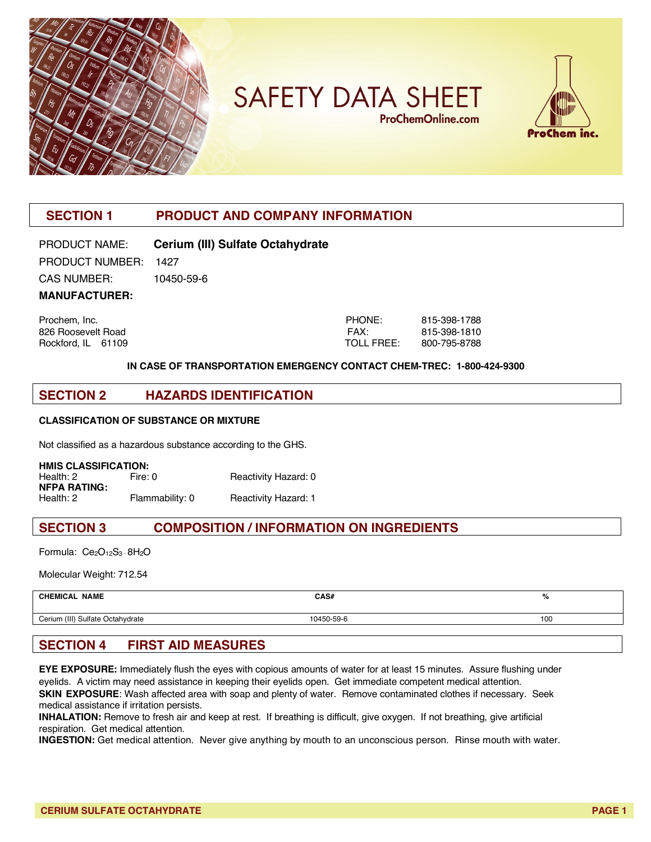

**SAFETY DATA SHEET ProChemOnline.com** 



## **SECTION 1 PRODUCT AND COMPANY INFORMATION**

PRODUCT NAME: **Cerium (III) Sulfate Octahydrate** PRODUCT NUMBER: 1427 CAS NUMBER: 10450-59-6

**MANUFACTURER:**

Prochem, Inc. 826 Roosevelt Road Rockford, IL 61109

| PHONF:     | 815-398-1788 |
|------------|--------------|
| FAX:       | 815-398-1810 |
| TOLL FREE: | 800-795-8788 |

#### **IN CASE OF TRANSPORTATION EMERGENCY CONTACT CHEM-TREC: 1-800-424-9300**

#### **SECTION 2 HAZARDS IDENTIFICATION**

#### **CLASSIFICATION OF SUBSTANCE OR MIXTURE**

Not classified as a hazardous substance according to the GHS.

**HMIS CLASSIFICATION:** Health: 2 Fire: 0 Reactivity Hazard: 0 **NFPA RATING:** Flammability: 0 Reactivity Hazard: 1

### **SECTION 3 COMPOSITION / INFORMATION ON INGREDIENTS**

Formula: Ce<sub>2</sub>O<sub>12</sub>S<sub>3</sub> · 8H<sub>2</sub>O

Molecular Weight: 712.54

| <b>CHEMICAL NAME</b>                     | CAS#       | $\mathbf{O}/$ |
|------------------------------------------|------------|---------------|
| Cerium (III)<br>Sulfate (<br>Octahydrate | 10450-59-6 | 100           |

## **SECTION 4 FIRST AID MEASURES**

**EYE EXPOSURE:** Immediately flush the eyes with copious amounts of water for at least 15 minutes. Assure flushing under eyelids. A victim may need assistance in keeping their eyelids open. Get immediate competent medical attention. **SKIN EXPOSURE**: Wash affected area with soap and plenty of water. Remove contaminated clothes if necessary. Seek medical assistance if irritation persists.

**INHALATION:** Remove to fresh air and keep at rest. If breathing is difficult, give oxygen. If not breathing, give artificial respiration. Get medical attention.

**INGESTION:** Get medical attention. Never give anything by mouth to an unconscious person. Rinse mouth with water.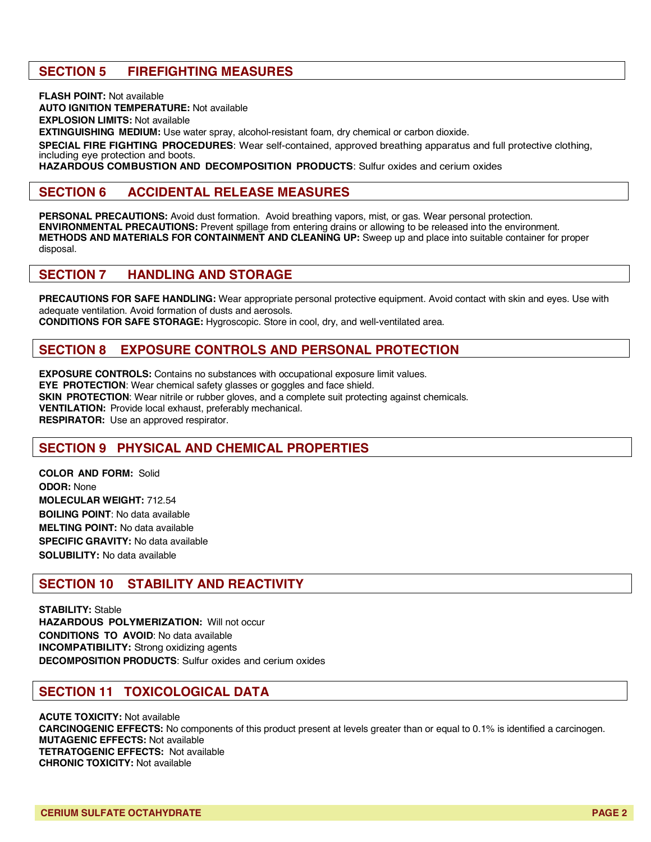## **SECTION 5 FIREFIGHTING MEASURES**

**FLASH POINT:** Not available **AUTO IGNITION TEMPERATURE:** Not available **EXPLOSION LIMITS:** Not available **EXTINGUISHING MEDIUM:** Use water spray, alcohol-resistant foam, dry chemical or carbon dioxide. **SPECIAL FIRE FIGHTING PROCEDURES**: Wear self-contained, approved breathing apparatus and full protective clothing, including eye protection and boots.

**HAZARDOUS COMBUSTION AND DECOMPOSITION PRODUCTS**: Sulfur oxides and cerium oxides

#### **SECTION 6 ACCIDENTAL RELEASE MEASURES**

**PERSONAL PRECAUTIONS:** Avoid dust formation. Avoid breathing vapors, mist, or gas. Wear personal protection. **ENVIRONMENTAL PRECAUTIONS:** Prevent spillage from entering drains or allowing to be released into the environment. **METHODS AND MATERIALS FOR CONTAINMENT AND CLEANING UP:** Sweep up and place into suitable container for proper disposal.

#### **SECTION 7 HANDLING AND STORAGE**

**PRECAUTIONS FOR SAFE HANDLING:** Wear appropriate personal protective equipment. Avoid contact with skin and eyes. Use with adequate ventilation. Avoid formation of dusts and aerosols. **CONDITIONS FOR SAFE STORAGE:** Hygroscopic. Store in cool, dry, and well-ventilated area.

## **SECTION 8 EXPOSURE CONTROLS AND PERSONAL PROTECTION**

**EXPOSURE CONTROLS:** Contains no substances with occupational exposure limit values. **EYE PROTECTION**: Wear chemical safety glasses or goggles and face shield. **SKIN PROTECTION:** Wear nitrile or rubber gloves, and a complete suit protecting against chemicals. **VENTILATION:** Provide local exhaust, preferably mechanical. **RESPIRATOR:** Use an approved respirator.

## **SECTION 9 PHYSICAL AND CHEMICAL PROPERTIES**

**COLOR AND FORM:** Solid **ODOR:** None **MOLECULAR WEIGHT:** 712.54 **BOILING POINT**: No data available **MELTING POINT:** No data available **SPECIFIC GRAVITY:** No data available **SOLUBILITY:** No data available

### **SECTION 10 STABILITY AND REACTIVITY**

**STABILITY:** Stable **HAZARDOUS POLYMERIZATION:** Will not occur **CONDITIONS TO AVOID**: No data available **INCOMPATIBILITY:** Strong oxidizing agents **DECOMPOSITION PRODUCTS**: Sulfur oxides and cerium oxides

#### **SECTION 11 TOXICOLOGICAL DATA**

**ACUTE TOXICITY:** Not available **CARCINOGENIC EFFECTS:** No components of this product present at levels greater than or equal to 0.1% is identified a carcinogen. **MUTAGENIC EFFECTS:** Not available **TETRATOGENIC EFFECTS:** Not available **CHRONIC TOXICITY:** Not available